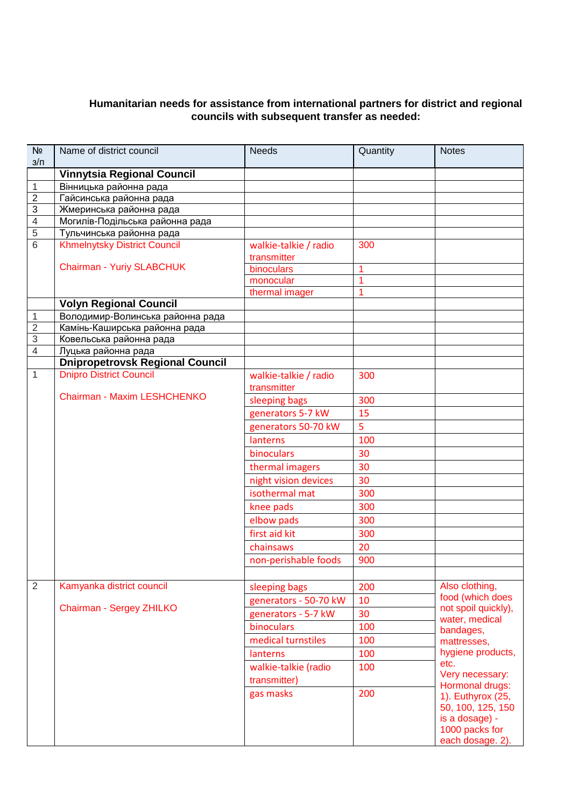## **Humanitarian needs for assistance from international partners for district and regional councils with subsequent transfer as needed:**

| N <sub>2</sub><br>$3/\Pi$      | Name of district council                                          | <b>Needs</b>          | Quantity       | <b>Notes</b>                     |
|--------------------------------|-------------------------------------------------------------------|-----------------------|----------------|----------------------------------|
|                                | <b>Vinnytsia Regional Council</b>                                 |                       |                |                                  |
| 1                              | Вінницька районна рада                                            |                       |                |                                  |
| $\boldsymbol{2}$               | Гайсинська районна рада                                           |                       |                |                                  |
| $\overline{3}$                 | Жмеринська районна рада                                           |                       |                |                                  |
| $\overline{4}$                 | Могилів-Подільська районна рада                                   |                       |                |                                  |
| $\overline{5}$                 | Тульчинська районна рада                                          |                       |                |                                  |
| $\overline{6}$                 | <b>Khmelnytsky District Council</b>                               | walkie-talkie / radio | 300            |                                  |
|                                |                                                                   | transmitter           |                |                                  |
|                                | <b>Chairman - Yuriy SLABCHUK</b>                                  | binoculars            | 1              |                                  |
|                                |                                                                   | monocular             | 1              |                                  |
|                                |                                                                   | thermal imager        | 1              |                                  |
|                                | <b>Volyn Regional Council</b>                                     |                       |                |                                  |
| $\mathbf{1}$<br>$\overline{2}$ | Володимир-Волинська районна рада<br>Камінь-Каширська районна рада |                       |                |                                  |
| 3                              | Ковельська районна рада                                           |                       |                |                                  |
| $\overline{4}$                 | Луцька районна рада                                               |                       |                |                                  |
|                                | <b>Dnipropetrovsk Regional Council</b>                            |                       |                |                                  |
| 1                              | <b>Dnipro District Council</b>                                    | walkie-talkie / radio | 300            |                                  |
|                                |                                                                   | transmitter           |                |                                  |
|                                | Chairman - Maxim LESHCHENKO                                       | sleeping bags         | 300            |                                  |
|                                |                                                                   | generators 5-7 kW     | 15             |                                  |
|                                |                                                                   | generators 50-70 kW   | $\overline{5}$ |                                  |
|                                |                                                                   | lanterns              | 100            |                                  |
|                                |                                                                   |                       |                |                                  |
|                                |                                                                   | binoculars            | 30             |                                  |
|                                |                                                                   | thermal imagers       | 30             |                                  |
|                                |                                                                   | night vision devices  | 30             |                                  |
|                                |                                                                   | isothermal mat        | 300            |                                  |
|                                |                                                                   | knee pads             | 300            |                                  |
|                                |                                                                   | elbow pads            | 300            |                                  |
|                                |                                                                   | first aid kit         | 300            |                                  |
|                                |                                                                   | chainsaws             | 20             |                                  |
|                                |                                                                   | non-perishable foods  | 900            |                                  |
|                                |                                                                   |                       |                |                                  |
| $\overline{2}$                 | Kamyanka district council                                         | sleeping bags         | 200            | Also clothing,                   |
|                                |                                                                   | generators - 50-70 kW | 10             | food (which does                 |
|                                | Chairman - Sergey ZHILKO                                          | generators - 5-7 kW   | 30             | not spoil quickly),              |
|                                |                                                                   | binoculars            | 100            | water, medical                   |
|                                |                                                                   | medical turnstiles    | 100            | bandages,<br>mattresses,         |
|                                |                                                                   | lanterns              | 100            | hygiene products,                |
|                                |                                                                   | walkie-talkie (radio  | 100            | etc.                             |
|                                |                                                                   |                       |                | Very necessary:                  |
|                                |                                                                   | transmitter)          |                | Hormonal drugs:                  |
|                                |                                                                   | gas masks             | 200            | 1). Euthyrox (25,                |
|                                |                                                                   |                       |                | 50, 100, 125, 150                |
|                                |                                                                   |                       |                | is a dosage) -<br>1000 packs for |
|                                |                                                                   |                       |                | each dosage. 2).                 |
|                                |                                                                   |                       |                |                                  |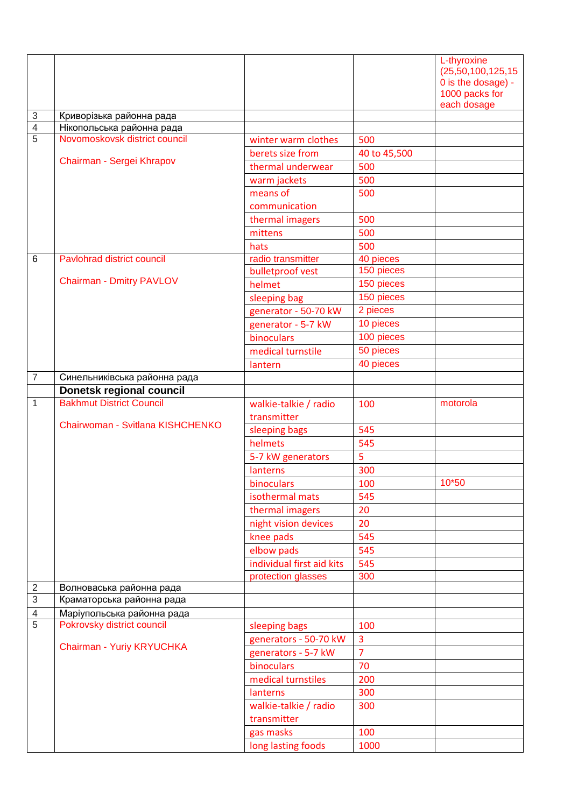|                |                                                             |                                         |                          | L-thyroxine                              |
|----------------|-------------------------------------------------------------|-----------------------------------------|--------------------------|------------------------------------------|
|                |                                                             |                                         |                          | (25,50,100,125,15)<br>0 is the dosage) - |
|                |                                                             |                                         |                          | 1000 packs for                           |
|                |                                                             |                                         |                          | each dosage                              |
| $\sqrt{3}$     | Криворізька районна рада                                    |                                         |                          |                                          |
| $\overline{4}$ | Нікопольська районна рада                                   |                                         |                          |                                          |
| $\overline{5}$ | Novomoskovsk district council                               | winter warm clothes                     | 500                      |                                          |
|                | Chairman - Sergei Khrapov                                   | berets size from                        | 40 to 45,500             |                                          |
|                |                                                             | thermal underwear                       | 500                      |                                          |
|                |                                                             | warm jackets                            | 500                      |                                          |
|                |                                                             | means of                                | 500                      |                                          |
|                |                                                             | communication                           |                          |                                          |
|                |                                                             | thermal imagers                         | 500                      |                                          |
|                |                                                             | mittens                                 | 500                      |                                          |
|                |                                                             | hats                                    | 500                      |                                          |
| 6              | Pavlohrad district council                                  | radio transmitter                       | 40 pieces<br>150 pieces  |                                          |
|                | <b>Chairman - Dmitry PAVLOV</b>                             | bulletproof vest                        |                          |                                          |
|                |                                                             | helmet                                  | 150 pieces<br>150 pieces |                                          |
|                |                                                             | sleeping bag                            | 2 pieces                 |                                          |
|                |                                                             | generator - 50-70 kW                    | 10 pieces                |                                          |
|                |                                                             | generator - 5-7 kW                      |                          |                                          |
|                |                                                             | binoculars                              | 100 pieces               |                                          |
|                |                                                             | medical turnstile                       | 50 pieces                |                                          |
|                |                                                             | lantern                                 | 40 pieces                |                                          |
| $\overline{7}$ | Синельниківська районна рада                                |                                         |                          |                                          |
| $\mathbf{1}$   | Donetsk regional council<br><b>Bakhmut District Council</b> |                                         |                          |                                          |
|                |                                                             | walkie-talkie / radio                   | 100                      | motorola                                 |
|                | Chairwoman - Svitlana KISHCHENKO                            | transmitter                             |                          |                                          |
|                |                                                             | sleeping bags<br>helmets                | 545<br>545               |                                          |
|                |                                                             |                                         | 5                        |                                          |
|                |                                                             | 5-7 kW generators                       | 300                      |                                          |
|                |                                                             | lanterns<br>binoculars                  | 100                      | 10*50                                    |
|                |                                                             |                                         | 545                      |                                          |
|                |                                                             | isothermal mats                         |                          |                                          |
|                |                                                             | thermal imagers                         | 20                       |                                          |
|                |                                                             | night vision devices                    | 20                       |                                          |
|                |                                                             | knee pads                               | 545<br>545               |                                          |
|                |                                                             | elbow pads<br>individual first aid kits |                          |                                          |
|                |                                                             | protection glasses                      | 545<br>300               |                                          |
| $\sqrt{2}$     | Волноваська районна рада                                    |                                         |                          |                                          |
| $\sqrt{3}$     | Краматорська районна рада                                   |                                         |                          |                                          |
| $\overline{4}$ | Маріупольська районна рада                                  |                                         |                          |                                          |
| 5              | Pokrovsky district council                                  | sleeping bags                           | 100                      |                                          |
|                |                                                             | generators - 50-70 kW                   | $\overline{\mathbf{3}}$  |                                          |
|                | Chairman - Yuriy KRYUCHKA                                   | generators - 5-7 kW                     | $\overline{7}$           |                                          |
|                |                                                             | binoculars                              | 70                       |                                          |
|                |                                                             | medical turnstiles                      | 200                      |                                          |
|                |                                                             | lanterns                                | 300                      |                                          |
|                |                                                             | walkie-talkie / radio                   | 300                      |                                          |
|                |                                                             | transmitter                             |                          |                                          |
|                |                                                             | gas masks                               | 100                      |                                          |
|                |                                                             | long lasting foods                      | 1000                     |                                          |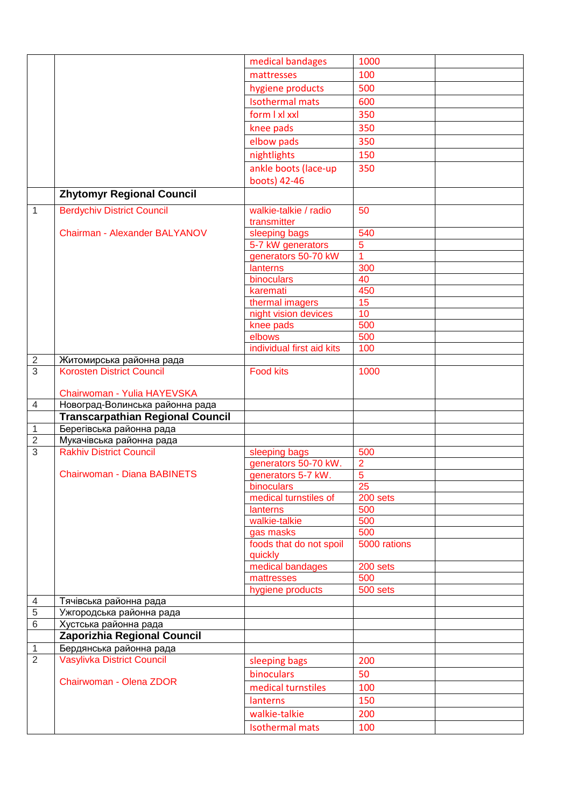|                                |                                                            | medical bandages                   | 1000                             |  |
|--------------------------------|------------------------------------------------------------|------------------------------------|----------------------------------|--|
|                                |                                                            | mattresses                         | 100                              |  |
|                                |                                                            | hygiene products                   | 500                              |  |
|                                |                                                            | <b>Isothermal mats</b>             | 600                              |  |
|                                |                                                            | form I xl xxl                      | 350                              |  |
|                                |                                                            | knee pads                          | 350                              |  |
|                                |                                                            | elbow pads                         | 350                              |  |
|                                |                                                            | nightlights                        | 150                              |  |
|                                |                                                            | ankle boots (lace-up               | 350                              |  |
|                                |                                                            | boots) 42-46                       |                                  |  |
|                                |                                                            |                                    |                                  |  |
|                                | <b>Zhytomyr Regional Council</b>                           |                                    |                                  |  |
| $\mathbf{1}$                   | <b>Berdychiv District Council</b>                          | walkie-talkie / radio              | 50                               |  |
|                                |                                                            | transmitter                        |                                  |  |
|                                | <b>Chairman - Alexander BALYANOV</b>                       | sleeping bags                      | 540                              |  |
|                                |                                                            | 5-7 kW generators                  | $\overline{5}$<br>$\overline{1}$ |  |
|                                |                                                            | generators 50-70 kW<br>lanterns    | 300                              |  |
|                                |                                                            | binoculars                         | 40                               |  |
|                                |                                                            | karemati                           | 450                              |  |
|                                |                                                            | thermal imagers                    | 15                               |  |
|                                |                                                            | night vision devices               | 10                               |  |
|                                |                                                            | knee pads                          | 500                              |  |
|                                |                                                            | elbows                             | 500                              |  |
|                                |                                                            | individual first aid kits          | 100                              |  |
| $\overline{c}$                 | Житомирська районна рада                                   |                                    |                                  |  |
| $\overline{3}$                 | <b>Korosten District Council</b>                           | <b>Food kits</b>                   | 1000                             |  |
|                                |                                                            |                                    |                                  |  |
|                                | Chairwoman - Yulia HAYEVSKA                                |                                    |                                  |  |
| $\overline{4}$                 | Новоград-Волинська районна рада                            |                                    |                                  |  |
|                                | <b>Transcarpathian Regional Council</b>                    |                                    |                                  |  |
| $\mathbf{1}$<br>$\overline{2}$ | Берегівська районна рада                                   |                                    |                                  |  |
| $\overline{3}$                 | Мукачівська районна рада<br><b>Rakhiv District Council</b> | sleeping bags                      | 500                              |  |
|                                |                                                            | generators 50-70 kW.               | $\overline{2}$                   |  |
|                                | Chairwoman - Diana BABINETS                                | generators 5-7 kW.                 | $\overline{5}$                   |  |
|                                |                                                            | binoculars                         | 25                               |  |
|                                |                                                            | medical turnstiles of              | 200 sets                         |  |
|                                |                                                            | lanterns                           | 500                              |  |
|                                |                                                            | walkie-talkie                      | 500                              |  |
|                                |                                                            | gas masks                          | 500                              |  |
|                                |                                                            | foods that do not spoil<br>quickly | 5000 rations                     |  |
|                                |                                                            | medical bandages                   | 200 sets                         |  |
|                                |                                                            | mattresses                         | 500                              |  |
|                                |                                                            | hygiene products                   | 500 sets                         |  |
| 4                              | Тячівська районна рада                                     |                                    |                                  |  |
| $\overline{5}$                 | Ужгородська районна рада                                   |                                    |                                  |  |
| 6                              | Хустська районна рада                                      |                                    |                                  |  |
|                                | <b>Zaporizhia Regional Council</b>                         |                                    |                                  |  |
| $\mathbf{1}$                   | Бердянська районна рада                                    |                                    |                                  |  |
| $\overline{2}$                 | <b>Vasylivka District Council</b>                          | sleeping bags                      | 200                              |  |
|                                | Chairwoman - Olena ZDOR                                    | binoculars                         | 50                               |  |
|                                |                                                            | medical turnstiles                 | 100                              |  |
|                                |                                                            | lanterns                           | 150                              |  |
|                                |                                                            | walkie-talkie                      | 200                              |  |
|                                |                                                            | <b>Isothermal mats</b>             | 100                              |  |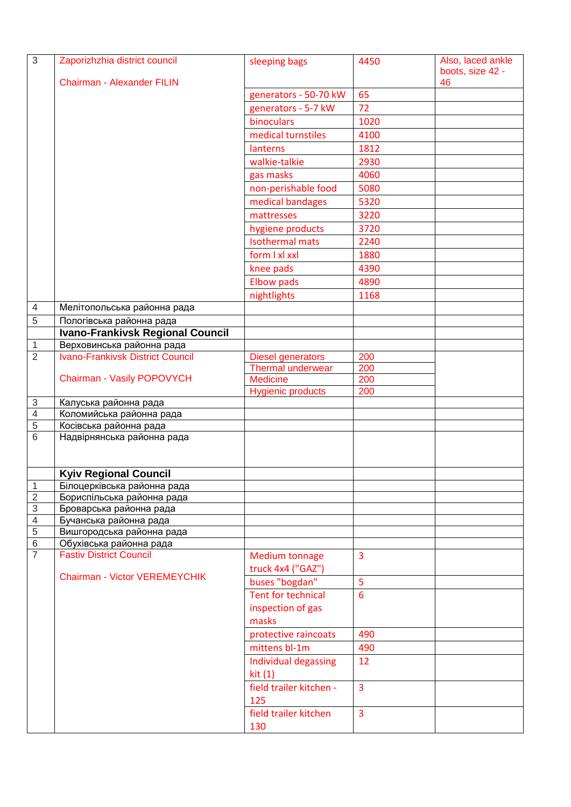| $\overline{3}$                 | Zaporizhzhia district council                             | sleeping bags                                        | 4450           | Also, laced ankle<br>boots, size 42 - |
|--------------------------------|-----------------------------------------------------------|------------------------------------------------------|----------------|---------------------------------------|
|                                | <b>Chairman - Alexander FILIN</b>                         |                                                      |                | 46                                    |
|                                |                                                           | generators - 50-70 kW                                | 65             |                                       |
|                                |                                                           | generators - 5-7 kW                                  | 72             |                                       |
|                                |                                                           | binoculars                                           | 1020           |                                       |
|                                |                                                           | medical turnstiles                                   | 4100           |                                       |
|                                |                                                           | lanterns                                             | 1812           |                                       |
|                                |                                                           | walkie-talkie                                        | 2930           |                                       |
|                                |                                                           | gas masks                                            | 4060           |                                       |
|                                |                                                           | non-perishable food                                  | 5080           |                                       |
|                                |                                                           | medical bandages                                     | 5320           |                                       |
|                                |                                                           | mattresses                                           | 3220           |                                       |
|                                |                                                           | hygiene products                                     | 3720           |                                       |
|                                |                                                           | <b>Isothermal mats</b>                               | 2240           |                                       |
|                                |                                                           | form I xl xxl                                        | 1880           |                                       |
|                                |                                                           |                                                      | 4390           |                                       |
|                                |                                                           | knee pads                                            |                |                                       |
|                                |                                                           | <b>Elbow pads</b>                                    | 4890           |                                       |
|                                |                                                           | nightlights                                          | 1168           |                                       |
| $\overline{4}$                 | Мелітопольська районна рада                               |                                                      |                |                                       |
| 5                              | Пологівська районна рада                                  |                                                      |                |                                       |
|                                | <b>Ivano-Frankivsk Regional Council</b>                   |                                                      |                |                                       |
| $\mathbf{1}$<br>$\overline{2}$ | Верховинська районна рада                                 |                                                      |                |                                       |
|                                | <b>Ivano-Frankivsk District Council</b>                   | <b>Diesel generators</b><br><b>Thermal underwear</b> | 200            |                                       |
|                                | Chairman - Vasily POPOVYCH                                | <b>Medicine</b>                                      | 200<br>200     |                                       |
|                                |                                                           | <b>Hygienic products</b>                             | 200            |                                       |
| $\sqrt{3}$                     | Калуська районна рада                                     |                                                      |                |                                       |
| $\overline{4}$                 | Коломийська районна рада                                  |                                                      |                |                                       |
| $\overline{5}$                 | Косівська районна рада                                    |                                                      |                |                                       |
| 6                              | Надвірнянська районна рада                                |                                                      |                |                                       |
|                                |                                                           |                                                      |                |                                       |
|                                | <b>Kyiv Regional Council</b>                              |                                                      |                |                                       |
| $\mathbf 1$                    | Білоцерківська районна рада                               |                                                      |                |                                       |
| $\overline{2}$                 | Бориспільська районна рада                                |                                                      |                |                                       |
| $\overline{3}$                 | Броварська районна рада                                   |                                                      |                |                                       |
| $\overline{4}$                 | Бучанська районна рада                                    |                                                      |                |                                       |
| $\overline{5}$                 | Вишгородська районна рада                                 |                                                      |                |                                       |
| $\,$ 6 $\,$<br>$\overline{7}$  | Обухівська районна рада<br><b>Fastiv District Council</b> |                                                      |                |                                       |
|                                |                                                           | <b>Medium tonnage</b><br>truck 4x4 ("GAZ")           | 3              |                                       |
|                                | <b>Chairman - Victor VEREMEYCHIK</b>                      | buses "bogdan"                                       | 5              |                                       |
|                                |                                                           | <b>Tent for technical</b>                            | 6              |                                       |
|                                |                                                           | inspection of gas                                    |                |                                       |
|                                |                                                           | masks                                                |                |                                       |
|                                |                                                           | protective raincoats                                 | 490            |                                       |
|                                |                                                           | mittens bl-1m                                        | 490            |                                       |
|                                |                                                           |                                                      | 12             |                                       |
|                                |                                                           | Individual degassing<br>kit(1)                       |                |                                       |
|                                |                                                           | field trailer kitchen -<br>125                       | $\overline{3}$ |                                       |
|                                |                                                           | field trailer kitchen                                | $\overline{3}$ |                                       |
|                                |                                                           | 130                                                  |                |                                       |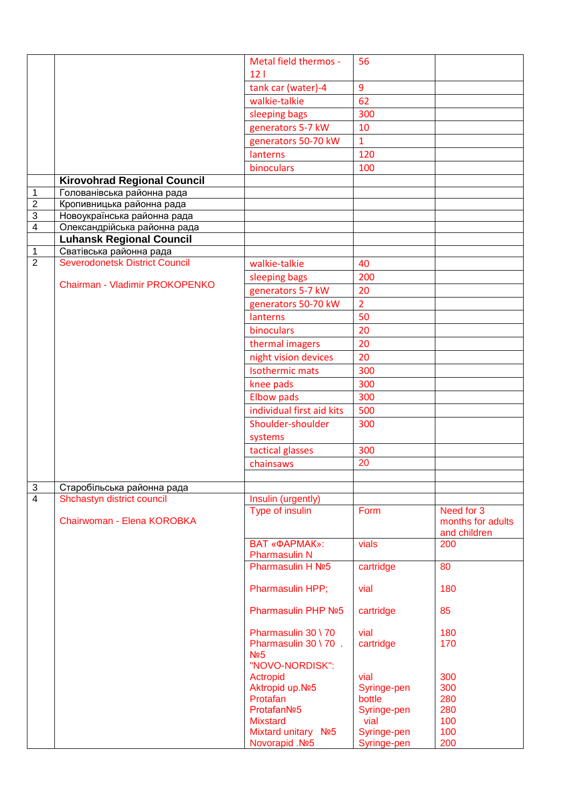| 12 <sub>1</sub><br>9<br>tank car (water)-4<br>62<br>walkie-talkie<br>300<br>sleeping bags<br>10<br>generators 5-7 kW<br>generators 50-70 kW<br>$\mathbf{1}$<br>lanterns<br>120<br>binoculars<br>100<br><b>Kirovohrad Regional Council</b><br>$\mathbf 1$<br>Голованівська районна рада<br>$\overline{2}$<br>Кропивницька районна рада<br>$\overline{3}$<br>Новоукраїнська районна рада<br>$\overline{\mathbf{4}}$<br>Олександрійська районна рада<br><b>Luhansk Regional Council</b><br>Сватівська районна рада<br>$\mathbf 1$<br><b>Severodonetsk District Council</b><br>$\overline{2}$<br>walkie-talkie<br>40<br>200<br>sleeping bags<br>Chairman - Vladimir PROKOPENKO<br>generators 5-7 kW<br>20<br>$\overline{2}$<br>generators 50-70 kW<br>50<br>lanterns<br>20<br><b>binoculars</b><br>20<br>thermal imagers<br>night vision devices<br>20<br><b>Isothermic mats</b><br>300<br>300<br>knee pads<br><b>Elbow pads</b><br>300<br>individual first aid kits<br>500<br>Shoulder-shoulder<br>300<br>systems<br>300<br>tactical glasses<br>20<br>chainsaws<br>$\overline{3}$<br>Старобільська районна рада<br>$\overline{4}$<br>Shchastyn district council<br>Insulin (urgently)<br><b>Type of insulin</b><br>Need for 3<br>Form<br>Chairwoman - Elena KOROBKA<br>months for adults<br>and children<br><b>BAT «ФАРМАК»:</b><br>vials<br>200<br><b>Pharmasulin N</b><br><b>Pharmasulin H Nº5</b><br>cartridge<br>80<br>Pharmasulin HPP;<br>vial<br>180<br>Pharmasulin PHP Nº5<br>cartridge<br>85<br>Pharmasulin 30 \70<br>vial<br>180<br>Pharmasulin 30 \ 70 .<br>cartridge<br>170<br>N <sub>25</sub><br>"NOVO-NORDISK":<br>300<br>vial<br>Actropid<br>300<br>Aktropid up.Nº5<br>Syringe-pen<br>280<br>Protafan<br>bottle<br>ProtafanNº5<br>Syringe-pen<br>280<br>100<br>vial<br><b>Mixstard</b><br>100<br>Mixtard unitary Nº5<br>Syringe-pen |  | Metal field thermos - | 56          |     |
|------------------------------------------------------------------------------------------------------------------------------------------------------------------------------------------------------------------------------------------------------------------------------------------------------------------------------------------------------------------------------------------------------------------------------------------------------------------------------------------------------------------------------------------------------------------------------------------------------------------------------------------------------------------------------------------------------------------------------------------------------------------------------------------------------------------------------------------------------------------------------------------------------------------------------------------------------------------------------------------------------------------------------------------------------------------------------------------------------------------------------------------------------------------------------------------------------------------------------------------------------------------------------------------------------------------------------------------------------------------------------------------------------------------------------------------------------------------------------------------------------------------------------------------------------------------------------------------------------------------------------------------------------------------------------------------------------------------------------------------------------------------------------------------------------------------------------------------------|--|-----------------------|-------------|-----|
|                                                                                                                                                                                                                                                                                                                                                                                                                                                                                                                                                                                                                                                                                                                                                                                                                                                                                                                                                                                                                                                                                                                                                                                                                                                                                                                                                                                                                                                                                                                                                                                                                                                                                                                                                                                                                                                |  |                       |             |     |
|                                                                                                                                                                                                                                                                                                                                                                                                                                                                                                                                                                                                                                                                                                                                                                                                                                                                                                                                                                                                                                                                                                                                                                                                                                                                                                                                                                                                                                                                                                                                                                                                                                                                                                                                                                                                                                                |  |                       |             |     |
|                                                                                                                                                                                                                                                                                                                                                                                                                                                                                                                                                                                                                                                                                                                                                                                                                                                                                                                                                                                                                                                                                                                                                                                                                                                                                                                                                                                                                                                                                                                                                                                                                                                                                                                                                                                                                                                |  |                       |             |     |
|                                                                                                                                                                                                                                                                                                                                                                                                                                                                                                                                                                                                                                                                                                                                                                                                                                                                                                                                                                                                                                                                                                                                                                                                                                                                                                                                                                                                                                                                                                                                                                                                                                                                                                                                                                                                                                                |  |                       |             |     |
|                                                                                                                                                                                                                                                                                                                                                                                                                                                                                                                                                                                                                                                                                                                                                                                                                                                                                                                                                                                                                                                                                                                                                                                                                                                                                                                                                                                                                                                                                                                                                                                                                                                                                                                                                                                                                                                |  |                       |             |     |
|                                                                                                                                                                                                                                                                                                                                                                                                                                                                                                                                                                                                                                                                                                                                                                                                                                                                                                                                                                                                                                                                                                                                                                                                                                                                                                                                                                                                                                                                                                                                                                                                                                                                                                                                                                                                                                                |  |                       |             |     |
|                                                                                                                                                                                                                                                                                                                                                                                                                                                                                                                                                                                                                                                                                                                                                                                                                                                                                                                                                                                                                                                                                                                                                                                                                                                                                                                                                                                                                                                                                                                                                                                                                                                                                                                                                                                                                                                |  |                       |             |     |
|                                                                                                                                                                                                                                                                                                                                                                                                                                                                                                                                                                                                                                                                                                                                                                                                                                                                                                                                                                                                                                                                                                                                                                                                                                                                                                                                                                                                                                                                                                                                                                                                                                                                                                                                                                                                                                                |  |                       |             |     |
|                                                                                                                                                                                                                                                                                                                                                                                                                                                                                                                                                                                                                                                                                                                                                                                                                                                                                                                                                                                                                                                                                                                                                                                                                                                                                                                                                                                                                                                                                                                                                                                                                                                                                                                                                                                                                                                |  |                       |             |     |
|                                                                                                                                                                                                                                                                                                                                                                                                                                                                                                                                                                                                                                                                                                                                                                                                                                                                                                                                                                                                                                                                                                                                                                                                                                                                                                                                                                                                                                                                                                                                                                                                                                                                                                                                                                                                                                                |  |                       |             |     |
|                                                                                                                                                                                                                                                                                                                                                                                                                                                                                                                                                                                                                                                                                                                                                                                                                                                                                                                                                                                                                                                                                                                                                                                                                                                                                                                                                                                                                                                                                                                                                                                                                                                                                                                                                                                                                                                |  |                       |             |     |
|                                                                                                                                                                                                                                                                                                                                                                                                                                                                                                                                                                                                                                                                                                                                                                                                                                                                                                                                                                                                                                                                                                                                                                                                                                                                                                                                                                                                                                                                                                                                                                                                                                                                                                                                                                                                                                                |  |                       |             |     |
|                                                                                                                                                                                                                                                                                                                                                                                                                                                                                                                                                                                                                                                                                                                                                                                                                                                                                                                                                                                                                                                                                                                                                                                                                                                                                                                                                                                                                                                                                                                                                                                                                                                                                                                                                                                                                                                |  |                       |             |     |
|                                                                                                                                                                                                                                                                                                                                                                                                                                                                                                                                                                                                                                                                                                                                                                                                                                                                                                                                                                                                                                                                                                                                                                                                                                                                                                                                                                                                                                                                                                                                                                                                                                                                                                                                                                                                                                                |  |                       |             |     |
|                                                                                                                                                                                                                                                                                                                                                                                                                                                                                                                                                                                                                                                                                                                                                                                                                                                                                                                                                                                                                                                                                                                                                                                                                                                                                                                                                                                                                                                                                                                                                                                                                                                                                                                                                                                                                                                |  |                       |             |     |
|                                                                                                                                                                                                                                                                                                                                                                                                                                                                                                                                                                                                                                                                                                                                                                                                                                                                                                                                                                                                                                                                                                                                                                                                                                                                                                                                                                                                                                                                                                                                                                                                                                                                                                                                                                                                                                                |  |                       |             |     |
|                                                                                                                                                                                                                                                                                                                                                                                                                                                                                                                                                                                                                                                                                                                                                                                                                                                                                                                                                                                                                                                                                                                                                                                                                                                                                                                                                                                                                                                                                                                                                                                                                                                                                                                                                                                                                                                |  |                       |             |     |
|                                                                                                                                                                                                                                                                                                                                                                                                                                                                                                                                                                                                                                                                                                                                                                                                                                                                                                                                                                                                                                                                                                                                                                                                                                                                                                                                                                                                                                                                                                                                                                                                                                                                                                                                                                                                                                                |  |                       |             |     |
|                                                                                                                                                                                                                                                                                                                                                                                                                                                                                                                                                                                                                                                                                                                                                                                                                                                                                                                                                                                                                                                                                                                                                                                                                                                                                                                                                                                                                                                                                                                                                                                                                                                                                                                                                                                                                                                |  |                       |             |     |
|                                                                                                                                                                                                                                                                                                                                                                                                                                                                                                                                                                                                                                                                                                                                                                                                                                                                                                                                                                                                                                                                                                                                                                                                                                                                                                                                                                                                                                                                                                                                                                                                                                                                                                                                                                                                                                                |  |                       |             |     |
|                                                                                                                                                                                                                                                                                                                                                                                                                                                                                                                                                                                                                                                                                                                                                                                                                                                                                                                                                                                                                                                                                                                                                                                                                                                                                                                                                                                                                                                                                                                                                                                                                                                                                                                                                                                                                                                |  |                       |             |     |
|                                                                                                                                                                                                                                                                                                                                                                                                                                                                                                                                                                                                                                                                                                                                                                                                                                                                                                                                                                                                                                                                                                                                                                                                                                                                                                                                                                                                                                                                                                                                                                                                                                                                                                                                                                                                                                                |  |                       |             |     |
|                                                                                                                                                                                                                                                                                                                                                                                                                                                                                                                                                                                                                                                                                                                                                                                                                                                                                                                                                                                                                                                                                                                                                                                                                                                                                                                                                                                                                                                                                                                                                                                                                                                                                                                                                                                                                                                |  |                       |             |     |
|                                                                                                                                                                                                                                                                                                                                                                                                                                                                                                                                                                                                                                                                                                                                                                                                                                                                                                                                                                                                                                                                                                                                                                                                                                                                                                                                                                                                                                                                                                                                                                                                                                                                                                                                                                                                                                                |  |                       |             |     |
|                                                                                                                                                                                                                                                                                                                                                                                                                                                                                                                                                                                                                                                                                                                                                                                                                                                                                                                                                                                                                                                                                                                                                                                                                                                                                                                                                                                                                                                                                                                                                                                                                                                                                                                                                                                                                                                |  |                       |             |     |
|                                                                                                                                                                                                                                                                                                                                                                                                                                                                                                                                                                                                                                                                                                                                                                                                                                                                                                                                                                                                                                                                                                                                                                                                                                                                                                                                                                                                                                                                                                                                                                                                                                                                                                                                                                                                                                                |  |                       |             |     |
|                                                                                                                                                                                                                                                                                                                                                                                                                                                                                                                                                                                                                                                                                                                                                                                                                                                                                                                                                                                                                                                                                                                                                                                                                                                                                                                                                                                                                                                                                                                                                                                                                                                                                                                                                                                                                                                |  |                       |             |     |
|                                                                                                                                                                                                                                                                                                                                                                                                                                                                                                                                                                                                                                                                                                                                                                                                                                                                                                                                                                                                                                                                                                                                                                                                                                                                                                                                                                                                                                                                                                                                                                                                                                                                                                                                                                                                                                                |  |                       |             |     |
|                                                                                                                                                                                                                                                                                                                                                                                                                                                                                                                                                                                                                                                                                                                                                                                                                                                                                                                                                                                                                                                                                                                                                                                                                                                                                                                                                                                                                                                                                                                                                                                                                                                                                                                                                                                                                                                |  |                       |             |     |
|                                                                                                                                                                                                                                                                                                                                                                                                                                                                                                                                                                                                                                                                                                                                                                                                                                                                                                                                                                                                                                                                                                                                                                                                                                                                                                                                                                                                                                                                                                                                                                                                                                                                                                                                                                                                                                                |  |                       |             |     |
|                                                                                                                                                                                                                                                                                                                                                                                                                                                                                                                                                                                                                                                                                                                                                                                                                                                                                                                                                                                                                                                                                                                                                                                                                                                                                                                                                                                                                                                                                                                                                                                                                                                                                                                                                                                                                                                |  |                       |             |     |
|                                                                                                                                                                                                                                                                                                                                                                                                                                                                                                                                                                                                                                                                                                                                                                                                                                                                                                                                                                                                                                                                                                                                                                                                                                                                                                                                                                                                                                                                                                                                                                                                                                                                                                                                                                                                                                                |  |                       |             |     |
|                                                                                                                                                                                                                                                                                                                                                                                                                                                                                                                                                                                                                                                                                                                                                                                                                                                                                                                                                                                                                                                                                                                                                                                                                                                                                                                                                                                                                                                                                                                                                                                                                                                                                                                                                                                                                                                |  |                       |             |     |
|                                                                                                                                                                                                                                                                                                                                                                                                                                                                                                                                                                                                                                                                                                                                                                                                                                                                                                                                                                                                                                                                                                                                                                                                                                                                                                                                                                                                                                                                                                                                                                                                                                                                                                                                                                                                                                                |  |                       |             |     |
|                                                                                                                                                                                                                                                                                                                                                                                                                                                                                                                                                                                                                                                                                                                                                                                                                                                                                                                                                                                                                                                                                                                                                                                                                                                                                                                                                                                                                                                                                                                                                                                                                                                                                                                                                                                                                                                |  |                       |             |     |
|                                                                                                                                                                                                                                                                                                                                                                                                                                                                                                                                                                                                                                                                                                                                                                                                                                                                                                                                                                                                                                                                                                                                                                                                                                                                                                                                                                                                                                                                                                                                                                                                                                                                                                                                                                                                                                                |  |                       |             |     |
|                                                                                                                                                                                                                                                                                                                                                                                                                                                                                                                                                                                                                                                                                                                                                                                                                                                                                                                                                                                                                                                                                                                                                                                                                                                                                                                                                                                                                                                                                                                                                                                                                                                                                                                                                                                                                                                |  |                       |             |     |
|                                                                                                                                                                                                                                                                                                                                                                                                                                                                                                                                                                                                                                                                                                                                                                                                                                                                                                                                                                                                                                                                                                                                                                                                                                                                                                                                                                                                                                                                                                                                                                                                                                                                                                                                                                                                                                                |  |                       |             |     |
|                                                                                                                                                                                                                                                                                                                                                                                                                                                                                                                                                                                                                                                                                                                                                                                                                                                                                                                                                                                                                                                                                                                                                                                                                                                                                                                                                                                                                                                                                                                                                                                                                                                                                                                                                                                                                                                |  |                       |             |     |
|                                                                                                                                                                                                                                                                                                                                                                                                                                                                                                                                                                                                                                                                                                                                                                                                                                                                                                                                                                                                                                                                                                                                                                                                                                                                                                                                                                                                                                                                                                                                                                                                                                                                                                                                                                                                                                                |  |                       |             |     |
|                                                                                                                                                                                                                                                                                                                                                                                                                                                                                                                                                                                                                                                                                                                                                                                                                                                                                                                                                                                                                                                                                                                                                                                                                                                                                                                                                                                                                                                                                                                                                                                                                                                                                                                                                                                                                                                |  |                       |             |     |
|                                                                                                                                                                                                                                                                                                                                                                                                                                                                                                                                                                                                                                                                                                                                                                                                                                                                                                                                                                                                                                                                                                                                                                                                                                                                                                                                                                                                                                                                                                                                                                                                                                                                                                                                                                                                                                                |  |                       |             |     |
|                                                                                                                                                                                                                                                                                                                                                                                                                                                                                                                                                                                                                                                                                                                                                                                                                                                                                                                                                                                                                                                                                                                                                                                                                                                                                                                                                                                                                                                                                                                                                                                                                                                                                                                                                                                                                                                |  |                       |             |     |
|                                                                                                                                                                                                                                                                                                                                                                                                                                                                                                                                                                                                                                                                                                                                                                                                                                                                                                                                                                                                                                                                                                                                                                                                                                                                                                                                                                                                                                                                                                                                                                                                                                                                                                                                                                                                                                                |  |                       |             |     |
|                                                                                                                                                                                                                                                                                                                                                                                                                                                                                                                                                                                                                                                                                                                                                                                                                                                                                                                                                                                                                                                                                                                                                                                                                                                                                                                                                                                                                                                                                                                                                                                                                                                                                                                                                                                                                                                |  |                       |             |     |
|                                                                                                                                                                                                                                                                                                                                                                                                                                                                                                                                                                                                                                                                                                                                                                                                                                                                                                                                                                                                                                                                                                                                                                                                                                                                                                                                                                                                                                                                                                                                                                                                                                                                                                                                                                                                                                                |  |                       |             |     |
|                                                                                                                                                                                                                                                                                                                                                                                                                                                                                                                                                                                                                                                                                                                                                                                                                                                                                                                                                                                                                                                                                                                                                                                                                                                                                                                                                                                                                                                                                                                                                                                                                                                                                                                                                                                                                                                |  |                       |             |     |
|                                                                                                                                                                                                                                                                                                                                                                                                                                                                                                                                                                                                                                                                                                                                                                                                                                                                                                                                                                                                                                                                                                                                                                                                                                                                                                                                                                                                                                                                                                                                                                                                                                                                                                                                                                                                                                                |  |                       |             |     |
|                                                                                                                                                                                                                                                                                                                                                                                                                                                                                                                                                                                                                                                                                                                                                                                                                                                                                                                                                                                                                                                                                                                                                                                                                                                                                                                                                                                                                                                                                                                                                                                                                                                                                                                                                                                                                                                |  |                       |             |     |
|                                                                                                                                                                                                                                                                                                                                                                                                                                                                                                                                                                                                                                                                                                                                                                                                                                                                                                                                                                                                                                                                                                                                                                                                                                                                                                                                                                                                                                                                                                                                                                                                                                                                                                                                                                                                                                                |  |                       |             |     |
|                                                                                                                                                                                                                                                                                                                                                                                                                                                                                                                                                                                                                                                                                                                                                                                                                                                                                                                                                                                                                                                                                                                                                                                                                                                                                                                                                                                                                                                                                                                                                                                                                                                                                                                                                                                                                                                |  | Novorapid .Nº5        | Syringe-pen | 200 |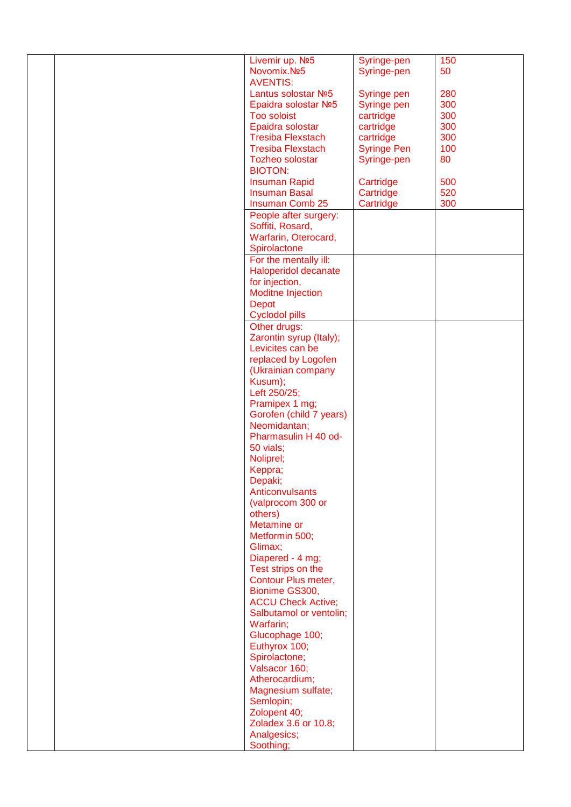|  | Livemir up. Nº5           | Syringe-pen        | 150 |
|--|---------------------------|--------------------|-----|
|  | Novomix.Nº5               | Syringe-pen        | 50  |
|  |                           |                    |     |
|  | <b>AVENTIS:</b>           |                    |     |
|  | Lantus solostar Nº5       | Syringe pen        | 280 |
|  | Epaidra solostar Nº5      | Syringe pen        | 300 |
|  |                           |                    |     |
|  | <b>Too soloist</b>        | cartridge          | 300 |
|  | Epaidra solostar          | cartridge          | 300 |
|  | <b>Tresiba Flexstach</b>  | cartridge          | 300 |
|  | <b>Tresiba Flexstach</b>  | <b>Syringe Pen</b> | 100 |
|  |                           |                    |     |
|  | <b>Tozheo solostar</b>    | Syringe-pen        | 80  |
|  | <b>BIOTON:</b>            |                    |     |
|  | <b>Insuman Rapid</b>      | Cartridge          | 500 |
|  |                           |                    |     |
|  | <b>Insuman Basal</b>      | Cartridge          | 520 |
|  | <b>Insuman Comb 25</b>    | Cartridge          | 300 |
|  | People after surgery:     |                    |     |
|  | Soffiti, Rosard,          |                    |     |
|  |                           |                    |     |
|  | Warfarin, Oterocard,      |                    |     |
|  | Spirolactone              |                    |     |
|  | For the mentally ill:     |                    |     |
|  |                           |                    |     |
|  | Haloperidol decanate      |                    |     |
|  | for injection,            |                    |     |
|  | <b>Moditne Injection</b>  |                    |     |
|  | <b>Depot</b>              |                    |     |
|  |                           |                    |     |
|  | <b>Cyclodol pills</b>     |                    |     |
|  | Other drugs:              |                    |     |
|  | Zarontin syrup (Italy);   |                    |     |
|  |                           |                    |     |
|  | Levicites can be          |                    |     |
|  | replaced by Logofen       |                    |     |
|  | (Ukrainian company        |                    |     |
|  | Kusum);                   |                    |     |
|  |                           |                    |     |
|  | Left 250/25;              |                    |     |
|  | Pramipex 1 mg;            |                    |     |
|  | Gorofen (child 7 years)   |                    |     |
|  |                           |                    |     |
|  | Neomidantan;              |                    |     |
|  | Pharmasulin H 40 od-      |                    |     |
|  | 50 vials;                 |                    |     |
|  | Noliprel;                 |                    |     |
|  |                           |                    |     |
|  | Keppra;                   |                    |     |
|  | Depaki;                   |                    |     |
|  | Anticonvulsants           |                    |     |
|  |                           |                    |     |
|  | (valprocom 300 or         |                    |     |
|  | others)                   |                    |     |
|  | Metamine or               |                    |     |
|  | Metformin 500;            |                    |     |
|  |                           |                    |     |
|  | Glimax;                   |                    |     |
|  | Diapered - 4 mg;          |                    |     |
|  | Test strips on the        |                    |     |
|  | Contour Plus meter,       |                    |     |
|  |                           |                    |     |
|  | Bionime GS300,            |                    |     |
|  | <b>ACCU Check Active;</b> |                    |     |
|  | Salbutamol or ventolin;   |                    |     |
|  | Warfarin;                 |                    |     |
|  |                           |                    |     |
|  | Glucophage 100;           |                    |     |
|  | Euthyrox 100;             |                    |     |
|  | Spirolactone;             |                    |     |
|  | Valsacor 160;             |                    |     |
|  |                           |                    |     |
|  | Atherocardium;            |                    |     |
|  | Magnesium sulfate;        |                    |     |
|  | Semlopin;                 |                    |     |
|  |                           |                    |     |
|  | Zolopent 40;              |                    |     |
|  | Zoladex 3.6 or 10.8;      |                    |     |
|  | Analgesics;               |                    |     |
|  | Soothing;                 |                    |     |
|  |                           |                    |     |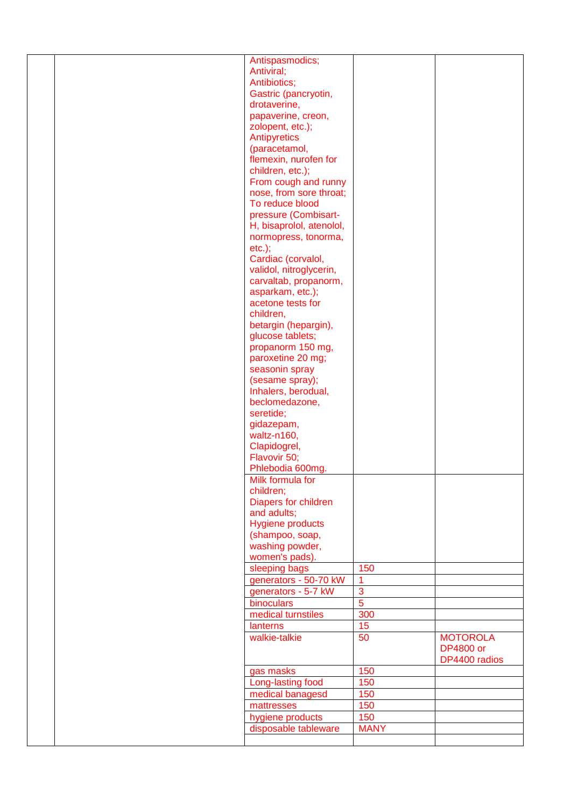|  | Antispasmodics;          |                |                  |
|--|--------------------------|----------------|------------------|
|  | Antiviral;               |                |                  |
|  | Antibiotics;             |                |                  |
|  | Gastric (pancryotin,     |                |                  |
|  | drotaverine,             |                |                  |
|  |                          |                |                  |
|  | papaverine, creon,       |                |                  |
|  | zolopent, etc.);         |                |                  |
|  | Antipyretics             |                |                  |
|  | (paracetamol,            |                |                  |
|  | flemexin, nurofen for    |                |                  |
|  | children, etc.);         |                |                  |
|  | From cough and runny     |                |                  |
|  |                          |                |                  |
|  | nose, from sore throat;  |                |                  |
|  | To reduce blood          |                |                  |
|  | pressure (Combisart-     |                |                  |
|  | H, bisaprolol, atenolol, |                |                  |
|  | normopress, tonorma,     |                |                  |
|  | $etc.$ ;                 |                |                  |
|  | Cardiac (corvalol,       |                |                  |
|  | validol, nitroglycerin,  |                |                  |
|  |                          |                |                  |
|  | carvaltab, propanorm,    |                |                  |
|  | asparkam, etc.);         |                |                  |
|  | acetone tests for        |                |                  |
|  | children,                |                |                  |
|  | betargin (hepargin),     |                |                  |
|  | glucose tablets;         |                |                  |
|  | propanorm 150 mg,        |                |                  |
|  | paroxetine 20 mg;        |                |                  |
|  | seasonin spray           |                |                  |
|  |                          |                |                  |
|  | (sesame spray);          |                |                  |
|  | Inhalers, berodual,      |                |                  |
|  |                          |                |                  |
|  | beclomedazone,           |                |                  |
|  | seretide;                |                |                  |
|  |                          |                |                  |
|  | gidazepam,               |                |                  |
|  | waltz-n160,              |                |                  |
|  | Clapidogrel,             |                |                  |
|  | Flavovir 50;             |                |                  |
|  | Phlebodia 600mg.         |                |                  |
|  | Milk formula for         |                |                  |
|  | children;                |                |                  |
|  | Diapers for children     |                |                  |
|  | and adults;              |                |                  |
|  |                          |                |                  |
|  | <b>Hygiene products</b>  |                |                  |
|  | (shampoo, soap,          |                |                  |
|  | washing powder,          |                |                  |
|  | women's pads).           |                |                  |
|  | sleeping bags            | 150            |                  |
|  | generators - 50-70 kW    |                |                  |
|  | generators - 5-7 kW      | 3              |                  |
|  |                          | $\overline{5}$ |                  |
|  | binoculars               |                |                  |
|  | medical turnstiles       | 300            |                  |
|  | lanterns                 | 15             |                  |
|  | walkie-talkie            | 50             | <b>MOTOROLA</b>  |
|  |                          |                | <b>DP4800 or</b> |
|  |                          |                | DP4400 radios    |
|  | gas masks                | 150            |                  |
|  |                          | 150            |                  |
|  | Long-lasting food        |                |                  |
|  | medical banagesd         | 150            |                  |
|  | mattresses               | 150            |                  |
|  | hygiene products         | 150            |                  |
|  | disposable tableware     | <b>MANY</b>    |                  |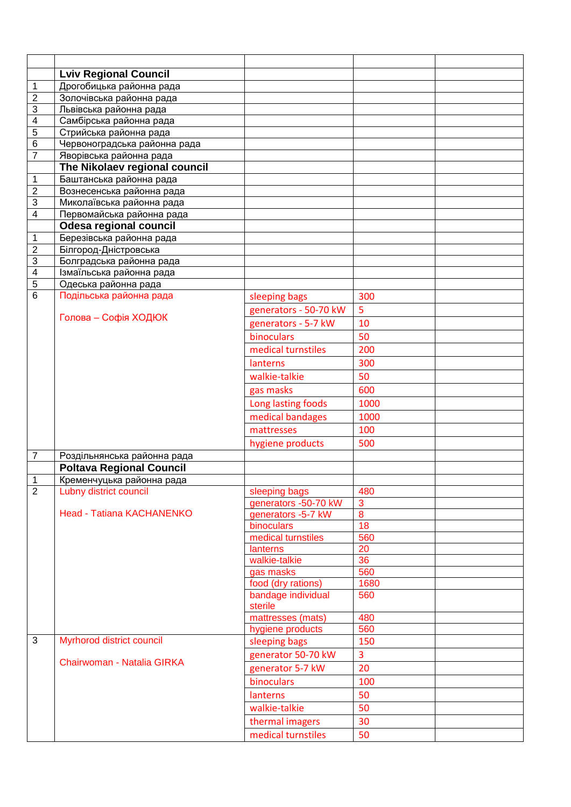| <b>Lviv Regional Council</b><br>$\mathbf 1$<br>Дрогобицька районна рада<br>$\overline{2}$<br>Золочівська районна рада<br>3<br>Львівська районна рада<br>$\overline{\mathbf{4}}$<br>Самбірська районна рада<br>5<br>Стрийська районна рада<br>6<br>Червоноградська районна рада<br>$\overline{7}$<br>Яворівська районна рада<br>The Nikolaev regional council<br>Баштанська районна рада<br>1<br>$\overline{c}$<br>Вознесенська районна рада<br>3<br>Миколаївська районна рада<br>$\overline{\mathbf{4}}$<br>Первомайська районна рада<br><b>Odesa regional council</b><br>$\mathbf 1$<br>Березівська районна рада<br>$\overline{2}$<br>Білгород-Дністровська<br>$\overline{3}$<br>Болградська районна рада<br>$\overline{4}$<br>Ізмаїльська районна рада<br>5<br>Одеська районна рада<br>$\overline{6}$<br>Подільська районна рада<br>300<br>sleeping bags |  |
|------------------------------------------------------------------------------------------------------------------------------------------------------------------------------------------------------------------------------------------------------------------------------------------------------------------------------------------------------------------------------------------------------------------------------------------------------------------------------------------------------------------------------------------------------------------------------------------------------------------------------------------------------------------------------------------------------------------------------------------------------------------------------------------------------------------------------------------------------------|--|
|                                                                                                                                                                                                                                                                                                                                                                                                                                                                                                                                                                                                                                                                                                                                                                                                                                                            |  |
|                                                                                                                                                                                                                                                                                                                                                                                                                                                                                                                                                                                                                                                                                                                                                                                                                                                            |  |
|                                                                                                                                                                                                                                                                                                                                                                                                                                                                                                                                                                                                                                                                                                                                                                                                                                                            |  |
|                                                                                                                                                                                                                                                                                                                                                                                                                                                                                                                                                                                                                                                                                                                                                                                                                                                            |  |
|                                                                                                                                                                                                                                                                                                                                                                                                                                                                                                                                                                                                                                                                                                                                                                                                                                                            |  |
|                                                                                                                                                                                                                                                                                                                                                                                                                                                                                                                                                                                                                                                                                                                                                                                                                                                            |  |
|                                                                                                                                                                                                                                                                                                                                                                                                                                                                                                                                                                                                                                                                                                                                                                                                                                                            |  |
|                                                                                                                                                                                                                                                                                                                                                                                                                                                                                                                                                                                                                                                                                                                                                                                                                                                            |  |
|                                                                                                                                                                                                                                                                                                                                                                                                                                                                                                                                                                                                                                                                                                                                                                                                                                                            |  |
|                                                                                                                                                                                                                                                                                                                                                                                                                                                                                                                                                                                                                                                                                                                                                                                                                                                            |  |
|                                                                                                                                                                                                                                                                                                                                                                                                                                                                                                                                                                                                                                                                                                                                                                                                                                                            |  |
|                                                                                                                                                                                                                                                                                                                                                                                                                                                                                                                                                                                                                                                                                                                                                                                                                                                            |  |
|                                                                                                                                                                                                                                                                                                                                                                                                                                                                                                                                                                                                                                                                                                                                                                                                                                                            |  |
|                                                                                                                                                                                                                                                                                                                                                                                                                                                                                                                                                                                                                                                                                                                                                                                                                                                            |  |
|                                                                                                                                                                                                                                                                                                                                                                                                                                                                                                                                                                                                                                                                                                                                                                                                                                                            |  |
|                                                                                                                                                                                                                                                                                                                                                                                                                                                                                                                                                                                                                                                                                                                                                                                                                                                            |  |
|                                                                                                                                                                                                                                                                                                                                                                                                                                                                                                                                                                                                                                                                                                                                                                                                                                                            |  |
|                                                                                                                                                                                                                                                                                                                                                                                                                                                                                                                                                                                                                                                                                                                                                                                                                                                            |  |
|                                                                                                                                                                                                                                                                                                                                                                                                                                                                                                                                                                                                                                                                                                                                                                                                                                                            |  |
|                                                                                                                                                                                                                                                                                                                                                                                                                                                                                                                                                                                                                                                                                                                                                                                                                                                            |  |
| 5<br>generators - 50-70 kW<br>Голова - Софія ХОДЮК                                                                                                                                                                                                                                                                                                                                                                                                                                                                                                                                                                                                                                                                                                                                                                                                         |  |
| generators - 5-7 kW<br>10                                                                                                                                                                                                                                                                                                                                                                                                                                                                                                                                                                                                                                                                                                                                                                                                                                  |  |
| binoculars<br>50                                                                                                                                                                                                                                                                                                                                                                                                                                                                                                                                                                                                                                                                                                                                                                                                                                           |  |
| medical turnstiles<br>200                                                                                                                                                                                                                                                                                                                                                                                                                                                                                                                                                                                                                                                                                                                                                                                                                                  |  |
| 300<br>lanterns                                                                                                                                                                                                                                                                                                                                                                                                                                                                                                                                                                                                                                                                                                                                                                                                                                            |  |
| 50<br>walkie-talkie                                                                                                                                                                                                                                                                                                                                                                                                                                                                                                                                                                                                                                                                                                                                                                                                                                        |  |
| gas masks<br>600                                                                                                                                                                                                                                                                                                                                                                                                                                                                                                                                                                                                                                                                                                                                                                                                                                           |  |
| Long lasting foods<br>1000                                                                                                                                                                                                                                                                                                                                                                                                                                                                                                                                                                                                                                                                                                                                                                                                                                 |  |
| medical bandages<br>1000                                                                                                                                                                                                                                                                                                                                                                                                                                                                                                                                                                                                                                                                                                                                                                                                                                   |  |
| 100<br>mattresses                                                                                                                                                                                                                                                                                                                                                                                                                                                                                                                                                                                                                                                                                                                                                                                                                                          |  |
| 500<br>hygiene products                                                                                                                                                                                                                                                                                                                                                                                                                                                                                                                                                                                                                                                                                                                                                                                                                                    |  |
| 7<br>Роздільнянська районна рада                                                                                                                                                                                                                                                                                                                                                                                                                                                                                                                                                                                                                                                                                                                                                                                                                           |  |
| <b>Poltava Regional Council</b>                                                                                                                                                                                                                                                                                                                                                                                                                                                                                                                                                                                                                                                                                                                                                                                                                            |  |
| Кременчуцька районна рада<br>1                                                                                                                                                                                                                                                                                                                                                                                                                                                                                                                                                                                                                                                                                                                                                                                                                             |  |
| $\overline{2}$<br>Lubny district council<br>sleeping bags<br>480                                                                                                                                                                                                                                                                                                                                                                                                                                                                                                                                                                                                                                                                                                                                                                                           |  |
| 3<br>generators -50-70 kW                                                                                                                                                                                                                                                                                                                                                                                                                                                                                                                                                                                                                                                                                                                                                                                                                                  |  |
| Head - Tatiana KACHANENKO<br>$\bf{8}$<br>generators -5-7 kW                                                                                                                                                                                                                                                                                                                                                                                                                                                                                                                                                                                                                                                                                                                                                                                                |  |
| 18<br>binoculars                                                                                                                                                                                                                                                                                                                                                                                                                                                                                                                                                                                                                                                                                                                                                                                                                                           |  |
| medical turnstiles<br>560                                                                                                                                                                                                                                                                                                                                                                                                                                                                                                                                                                                                                                                                                                                                                                                                                                  |  |
| 20<br>lanterns<br>walkie-talkie<br>36                                                                                                                                                                                                                                                                                                                                                                                                                                                                                                                                                                                                                                                                                                                                                                                                                      |  |
| 560<br>gas masks                                                                                                                                                                                                                                                                                                                                                                                                                                                                                                                                                                                                                                                                                                                                                                                                                                           |  |
| food (dry rations)<br>1680                                                                                                                                                                                                                                                                                                                                                                                                                                                                                                                                                                                                                                                                                                                                                                                                                                 |  |
| bandage individual<br>560                                                                                                                                                                                                                                                                                                                                                                                                                                                                                                                                                                                                                                                                                                                                                                                                                                  |  |
| sterile                                                                                                                                                                                                                                                                                                                                                                                                                                                                                                                                                                                                                                                                                                                                                                                                                                                    |  |
| mattresses (mats)<br>480                                                                                                                                                                                                                                                                                                                                                                                                                                                                                                                                                                                                                                                                                                                                                                                                                                   |  |
| 560<br>hygiene products                                                                                                                                                                                                                                                                                                                                                                                                                                                                                                                                                                                                                                                                                                                                                                                                                                    |  |
| 3<br>Myrhorod district council<br>150<br>sleeping bags                                                                                                                                                                                                                                                                                                                                                                                                                                                                                                                                                                                                                                                                                                                                                                                                     |  |
| 3<br>generator 50-70 kW                                                                                                                                                                                                                                                                                                                                                                                                                                                                                                                                                                                                                                                                                                                                                                                                                                    |  |
| Chairwoman - Natalia GIRKA<br>generator 5-7 kW<br>20                                                                                                                                                                                                                                                                                                                                                                                                                                                                                                                                                                                                                                                                                                                                                                                                       |  |
| binoculars<br>100                                                                                                                                                                                                                                                                                                                                                                                                                                                                                                                                                                                                                                                                                                                                                                                                                                          |  |
| 50<br>lanterns                                                                                                                                                                                                                                                                                                                                                                                                                                                                                                                                                                                                                                                                                                                                                                                                                                             |  |
| walkie-talkie<br>50                                                                                                                                                                                                                                                                                                                                                                                                                                                                                                                                                                                                                                                                                                                                                                                                                                        |  |
| thermal imagers<br>30                                                                                                                                                                                                                                                                                                                                                                                                                                                                                                                                                                                                                                                                                                                                                                                                                                      |  |
| medical turnstiles<br>50                                                                                                                                                                                                                                                                                                                                                                                                                                                                                                                                                                                                                                                                                                                                                                                                                                   |  |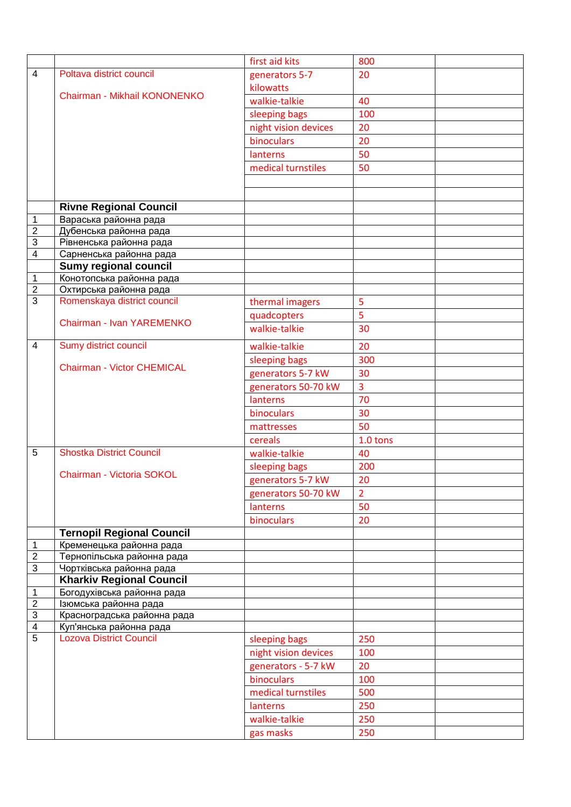|                                  |                                                         | first aid kits       | 800            |  |
|----------------------------------|---------------------------------------------------------|----------------------|----------------|--|
| $\overline{4}$                   | Poltava district council                                | generators 5-7       | 20             |  |
|                                  |                                                         | kilowatts            |                |  |
|                                  | Chairman - Mikhail KONONENKO                            | walkie-talkie        | 40             |  |
|                                  |                                                         | sleeping bags        | 100            |  |
|                                  |                                                         | night vision devices | 20             |  |
|                                  |                                                         | binoculars           | 20             |  |
|                                  |                                                         | lanterns             | 50             |  |
|                                  |                                                         | medical turnstiles   | 50             |  |
|                                  |                                                         |                      |                |  |
|                                  |                                                         |                      |                |  |
|                                  |                                                         |                      |                |  |
|                                  | <b>Rivne Regional Council</b>                           |                      |                |  |
| 1                                | Вараська районна рада                                   |                      |                |  |
| $\overline{2}$                   | Дубенська районна рада                                  |                      |                |  |
| $\overline{3}$<br>$\overline{4}$ | Рівненська районна рада                                 |                      |                |  |
|                                  | Сарненська районна рада<br><b>Sumy regional council</b> |                      |                |  |
| $\mathbf 1$                      | Конотопська районна рада                                |                      |                |  |
| $\overline{2}$                   | Охтирська районна рада                                  |                      |                |  |
| $\overline{3}$                   | Romenskaya district council                             | thermal imagers      | 5              |  |
|                                  |                                                         |                      | 5              |  |
|                                  | Chairman - Ivan YAREMENKO                               | quadcopters          |                |  |
|                                  |                                                         | walkie-talkie        | 30             |  |
| 4                                | Sumy district council                                   | walkie-talkie        | 20             |  |
|                                  |                                                         | sleeping bags        | 300            |  |
|                                  | <b>Chairman - Victor CHEMICAL</b>                       | generators 5-7 kW    | 30             |  |
|                                  |                                                         | generators 50-70 kW  | $\overline{3}$ |  |
|                                  |                                                         | lanterns             | 70             |  |
|                                  |                                                         | binoculars           | 30             |  |
|                                  |                                                         | mattresses           | 50             |  |
|                                  |                                                         | cereals              | 1.0 tons       |  |
| 5                                | <b>Shostka District Council</b>                         | walkie-talkie        | 40             |  |
|                                  |                                                         |                      |                |  |
|                                  | Chairman - Victoria SOKOL                               | sleeping bags        | 200            |  |
|                                  |                                                         | generators 5-7 kW    | 20             |  |
|                                  |                                                         | generators 50-70 kW  | $\overline{2}$ |  |
|                                  |                                                         | lanterns             | 50             |  |
|                                  |                                                         | binoculars           | 20             |  |
|                                  | <b>Ternopil Regional Council</b>                        |                      |                |  |
| $\mathbf 1$                      | Кременецька районна рада                                |                      |                |  |
| $\overline{c}$                   | Тернопільська районна рада                              |                      |                |  |
| $\overline{3}$                   | Чортківська районна рада                                |                      |                |  |
|                                  | <b>Kharkiv Regional Council</b>                         |                      |                |  |
| $\mathbf{1}$                     | Богодухівська районна рада                              |                      |                |  |
| $\overline{c}$                   | Ізюмська районна рада                                   |                      |                |  |
| $\ensuremath{\mathsf{3}}$        | Красноградська районна рада                             |                      |                |  |
| $\overline{4}$<br>5              | Куп'янська районна рада                                 |                      |                |  |
|                                  | <b>Lozova District Council</b>                          | sleeping bags        | 250            |  |
|                                  |                                                         | night vision devices | 100            |  |
|                                  |                                                         | generators - 5-7 kW  | 20             |  |
|                                  |                                                         | binoculars           | 100            |  |
|                                  |                                                         | medical turnstiles   | 500            |  |
|                                  |                                                         | lanterns             | 250            |  |
|                                  |                                                         | walkie-talkie        | 250            |  |
|                                  |                                                         | gas masks            | 250            |  |
|                                  |                                                         |                      |                |  |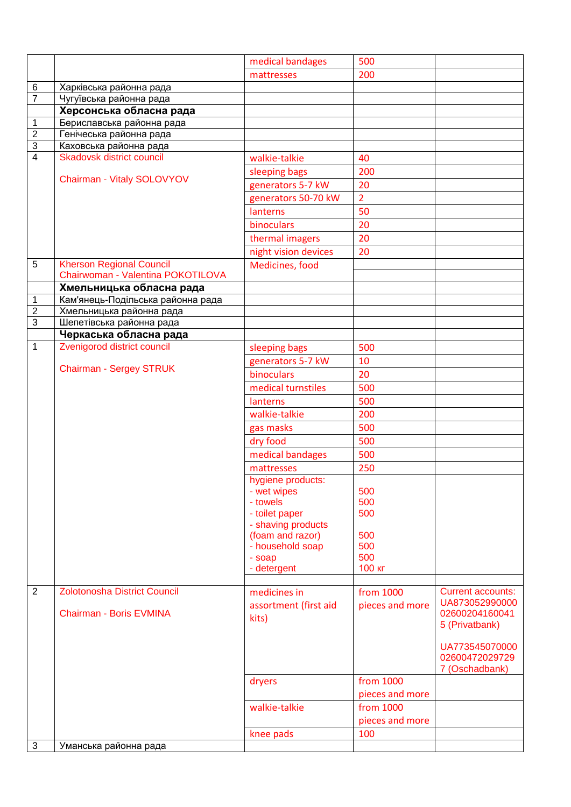|                |                                     | medical bandages                       | 500             |                                            |
|----------------|-------------------------------------|----------------------------------------|-----------------|--------------------------------------------|
|                |                                     | mattresses                             | 200             |                                            |
| $\,6$          | Харківська районна рада             |                                        |                 |                                            |
| $\overline{7}$ | Чугуївська районна рада             |                                        |                 |                                            |
|                | Херсонська обласна рада             |                                        |                 |                                            |
| $\mathbf 1$    | Бериславська районна рада           |                                        |                 |                                            |
| $\overline{2}$ | Генічеська районна рада             |                                        |                 |                                            |
| $\overline{3}$ | Каховська районна рада              |                                        |                 |                                            |
| $\overline{4}$ | <b>Skadovsk district council</b>    | walkie-talkie                          | 40              |                                            |
|                | Chairman - Vitaly SOLOVYOV          | sleeping bags                          | 200             |                                            |
|                |                                     | generators 5-7 kW                      | 20              |                                            |
|                |                                     | generators 50-70 kW                    | $\overline{2}$  |                                            |
|                |                                     | lanterns                               | 50              |                                            |
|                |                                     | binoculars                             | 20              |                                            |
|                |                                     | thermal imagers                        | 20              |                                            |
|                |                                     | night vision devices                   | 20              |                                            |
| 5              | <b>Kherson Regional Council</b>     | Medicines, food                        |                 |                                            |
|                | Chairwoman - Valentina POKOTILOVA   |                                        |                 |                                            |
|                | Хмельницька обласна рада            |                                        |                 |                                            |
| $\mathbf{1}$   | Кам'янець-Подільська районна рада   |                                        |                 |                                            |
| $\overline{2}$ | Хмельницька районна рада            |                                        |                 |                                            |
| $\overline{3}$ | Шепетівська районна рада            |                                        |                 |                                            |
|                | Черкаська обласна рада              |                                        |                 |                                            |
| $\mathbf{1}$   | Zvenigorod district council         | sleeping bags                          | 500             |                                            |
|                | <b>Chairman - Sergey STRUK</b>      | generators 5-7 kW                      | 10              |                                            |
|                |                                     | binoculars                             | 20              |                                            |
|                |                                     | medical turnstiles                     | 500             |                                            |
|                |                                     | lanterns                               | 500             |                                            |
|                |                                     | walkie-talkie                          | 200             |                                            |
|                |                                     | gas masks                              | 500             |                                            |
|                |                                     | dry food                               | 500             |                                            |
|                |                                     | medical bandages                       | 500             |                                            |
|                |                                     | mattresses                             | 250             |                                            |
|                |                                     | hygiene products:                      |                 |                                            |
|                |                                     | - wet wipes                            | 500             |                                            |
|                |                                     | - towels                               | 500             |                                            |
|                |                                     | - toilet paper                         | 500             |                                            |
|                |                                     | - shaving products<br>(foam and razor) | 500             |                                            |
|                |                                     | - household soap                       | 500             |                                            |
|                |                                     | - soap                                 | 500             |                                            |
|                |                                     | - detergent                            | 100 кг          |                                            |
|                |                                     |                                        |                 |                                            |
| $\overline{2}$ | <b>Zolotonosha District Council</b> | medicines in                           | from 1000       | <b>Current accounts:</b><br>UA873052990000 |
|                | Chairman - Boris EVMINA             | assortment (first aid                  | pieces and more | 02600204160041                             |
|                |                                     | kits)                                  |                 | 5 (Privatbank)                             |
|                |                                     |                                        |                 |                                            |
|                |                                     |                                        |                 | UA773545070000                             |
|                |                                     |                                        |                 | 02600472029729                             |
|                |                                     |                                        |                 | 7 (Oschadbank)                             |
|                |                                     | dryers                                 | from 1000       |                                            |
|                |                                     |                                        | pieces and more |                                            |
|                |                                     | walkie-talkie                          | from 1000       |                                            |
|                |                                     |                                        | pieces and more |                                            |
|                |                                     | knee pads                              | 100             |                                            |
| $\mathbf{3}$   | Уманська районна рада               |                                        |                 |                                            |